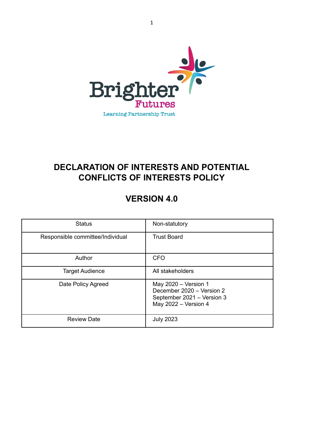

# **DECLARATION OF INTERESTS AND POTENTIAL CONFLICTS OF INTERESTS POLICY**

# **VERSION 4.0**

| <b>Status</b>                    | Non-statutory                                                                                             |
|----------------------------------|-----------------------------------------------------------------------------------------------------------|
| Responsible committee/Individual | <b>Trust Board</b>                                                                                        |
| Author                           | <b>CFO</b>                                                                                                |
| <b>Target Audience</b>           | All stakeholders                                                                                          |
| Date Policy Agreed               | May $2020 - Version 1$<br>December 2020 - Version 2<br>September 2021 - Version 3<br>May 2022 - Version 4 |
| <b>Review Date</b>               | <b>July 2023</b>                                                                                          |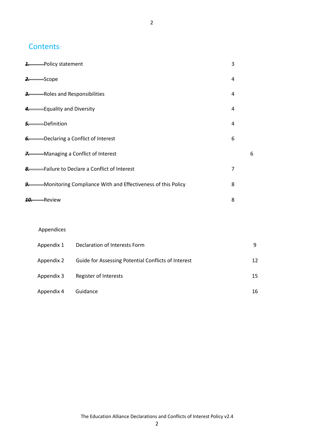## Contents:

| <b>1.</b> Policy statement                                            | 3 |   |
|-----------------------------------------------------------------------|---|---|
| $2 \rightarrow$ Scope                                                 | 4 |   |
| 3. Roles and Responsibilities                                         | 4 |   |
| 4. Equality and Diversity                                             | 4 |   |
| 5. Definition                                                         | 4 |   |
| <b>6.</b> Declaring a Conflict of Interest                            | 6 |   |
| <b>7.</b> Managing a Conflict of Interest                             |   | 6 |
| <b>8.</b> Failure to Declare a Conflict of Interest                   | 7 |   |
| <b>9.</b> Monitoring Compliance With and Effectiveness of this Policy | 8 |   |
| 10. Review                                                            | 8 |   |

## Appendices

| Appendix 1 | Declaration of Interests Form                       | q  |
|------------|-----------------------------------------------------|----|
| Appendix 2 | Guide for Assessing Potential Conflicts of Interest | 12 |
| Appendix 3 | Register of Interests                               | 15 |
| Appendix 4 | Guidance                                            | 16 |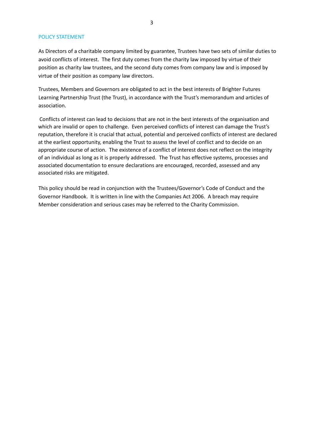#### POLICY STATEMENT

As Directors of a charitable company limited by guarantee, Trustees have two sets of similar duties to avoid conflicts of interest. The first duty comes from the charity law imposed by virtue of their position as charity law trustees, and the second duty comes from company law and is imposed by virtue of their position as company law directors.

Trustees, Members and Governors are obligated to act in the best interests of Brighter Futures Learning Partnership Trust (the Trust), in accordance with the Trust's memorandum and articles of association.

 Conflicts of interest can lead to decisions that are not in the best interests of the organisation and which are invalid or open to challenge. Even perceived conflicts of interest can damage the Trust's reputation, therefore it is crucial that actual, potential and perceived conflicts of interest are declared at the earliest opportunity, enabling the Trust to assess the level of conflict and to decide on an appropriate course of action. The existence of a conflict of interest does not reflect on the integrity of an individual as long as it is properly addressed. The Trust has effective systems, processes and associated documentation to ensure declarations are encouraged, recorded, assessed and any associated risks are mitigated.

This policy should be read in conjunction with the Trustees/Governor's Code of Conduct and the Governor Handbook. It is written in line with the Companies Act 2006. A breach may require Member consideration and serious cases may be referred to the Charity Commission.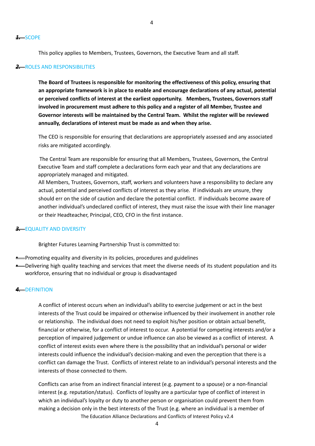#### *1.* SCOPE

This policy applies to Members, Trustees, Governors, the Executive Team and all staff.

#### **2.** ROLES AND RESPONSIBILITIES

**The Board of Trustees is responsible for monitoring the effectiveness of this policy, ensuring that an appropriate framework is in place to enable and encourage declarations of any actual, potential or perceived conflicts of interest at the earliest opportunity. Members, Trustees, Governors staff involved in procurement must adhere to this policy and a register of all Member, Trustee and Governor interests will be maintained by the Central Team. Whilst the register will be reviewed annually, declarations of interest must be made as and when they arise.** 

The CEO is responsible for ensuring that declarations are appropriately assessed and any associated risks are mitigated accordingly.

 The Central Team are responsible for ensuring that all Members, Trustees, Governors, the Central Executive Team and staff complete a declarations form each year and that any declarations are appropriately managed and mitigated.

All Members, Trustees, Governors, staff, workers and volunteers have a responsibility to declare any actual, potential and perceived conflicts of interest as they arise. If individuals are unsure, they should err on the side of caution and declare the potential conflict. If individuals become aware of another individual's undeclared conflict of interest, they must raise the issue with their line manager or their Headteacher, Principal, CEO, CFO in the first instance.

#### **3.** EQUALITY AND DIVERSITY

Brighter Futures Learning Partnership Trust is committed to:

- **•** Promoting equality and diversity in its policies, procedures and guidelines
- Delivering high quality teaching and services that meet the diverse needs of its student population and its workforce, ensuring that no individual or group is disadvantaged

#### *4.* DEFINITION

A conflict of interest occurs when an individual's ability to exercise judgement or act in the best interests of the Trust could be impaired or otherwise influenced by their involvement in another role or relationship. The individual does not need to exploit his/her position or obtain actual benefit, financial or otherwise, for a conflict of interest to occur. A potential for competing interests and/or a perception of impaired judgement or undue influence can also be viewed as a conflict of interest. A conflict of interest exists even where there is the possibility that an individual's personal or wider interests could influence the individual's decision-making and even the perception that there is a conflict can damage the Trust. Conflicts of interest relate to an individual's personal interests and the interests of those connected to them.

Conflicts can arise from an indirect financial interest (e.g. payment to a spouse) or a non-financial interest (e.g. reputation/status). Conflicts of loyalty are a particular type of conflict of interest in which an individual's loyalty or duty to another person or organisation could prevent them from making a decision only in the best interests of the Trust (e.g. where an individual is a member of The Education Alliance Declarations and Conflicts of Interest Policy v2.4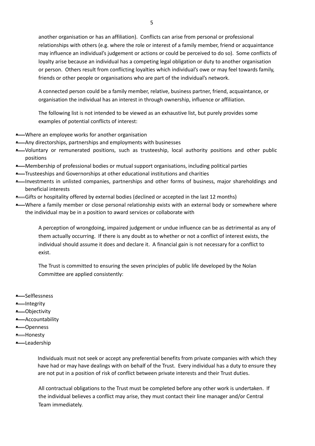another organisation or has an affiliation). Conflicts can arise from personal or professional relationships with others (e.g. where the role or interest of a family member, friend or acquaintance may influence an individual's judgement or actions or could be perceived to do so). Some conflicts of loyalty arise because an individual has a competing legal obligation or duty to another organisation or person. Others result from conflicting loyalties which individual's owe or may feel towards family, friends or other people or organisations who are part of the individual's network.

A connected person could be a family member, relative, business partner, friend, acquaintance, or organisation the individual has an interest in through ownership, influence or affiliation.

The following list is not intended to be viewed as an exhaustive list, but purely provides some examples of potential conflicts of interest:

- Where an employee works for another organisation
- **•** Any directorships, partnerships and employments with businesses
- Voluntary or remunerated positions, such as trusteeship, local authority positions and other public positions
- Membership of professional bodies or mutual support organisations, including political parties
- Trusteeships and Governorships at other educational institutions and charities
- Investments in unlisted companies, partnerships and other forms of business, major shareholdings and beneficial interests
- Gifts or hospitality offered by external bodies (declined or accepted in the last 12 months)
- Where a family member or close personal relationship exists with an external body or somewhere where the individual may be in a position to award services or collaborate with

A perception of wrongdoing, impaired judgement or undue influence can be as detrimental as any of them actually occurring. If there is any doubt as to whether or not a conflict of interest exists, the individual should assume it does and declare it. A financial gain is not necessary for a conflict to exist.

The Trust is committed to ensuring the seven principles of public life developed by the Nolan Committee are applied consistently:

- **•** Selflessness
- Integrity
- Objectivity
- Accountability
- Openness
- Honesty
- Leadership

Individuals must not seek or accept any preferential benefits from private companies with which they have had or may have dealings with on behalf of the Trust. Every individual has a duty to ensure they are not put in a position of risk of conflict between private interests and their Trust duties.

All contractual obligations to the Trust must be completed before any other work is undertaken. If the individual believes a conflict may arise, they must contact their line manager and/or Central Team immediately.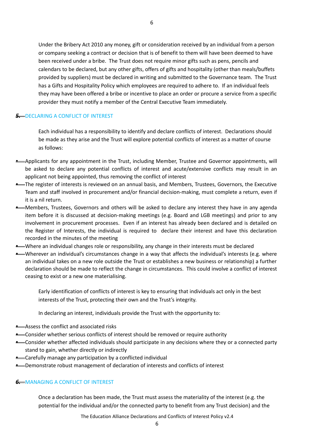Under the Bribery Act 2010 any money, gift or consideration received by an individual from a person or company seeking a contract or decision that is of benefit to them will have been deemed to have been received under a bribe. The Trust does not require minor gifts such as pens, pencils and calendars to be declared, but any other gifts, offers of gifts and hospitality (other than meals/buffets provided by suppliers) must be declared in writing and submitted to the Governance team. The Trust has a Gifts and Hospitality Policy which employees are required to adhere to. If an individual feels they may have been offered a bribe or incentive to place an order or procure a service from a specific provider they must notify a member of the Central Executive Team immediately.

#### **5. DECLARING A CONFLICT OF INTEREST**

Each individual has a responsibility to identify and declare conflicts of interest. Declarations should be made as they arise and the Trust will explore potential conflicts of interest as a matter of course as follows:

- Applicants for any appointment in the Trust, including Member, Trustee and Governor appointments, will be asked to declare any potential conflicts of interest and acute/extensive conflicts may result in an applicant not being appointed, thus removing the conflict of interest
- The register of interests is reviewed on an annual basis, and Members, Trustees, Governors, the Executive Team and staff involved in procurement and/or financial decision-making, must complete a return, even if it is a nil return.
- Members, Trustees, Governors and others will be asked to declare any interest they have in any agenda item before it is discussed at decision-making meetings (e.g. Board and LGB meetings) and prior to any involvement in procurement processes. Even if an interest has already been declared and is detailed on the Register of Interests, the individual is required to declare their interest and have this declaration recorded in the minutes of the meeting
- Where an individual changes role or responsibility, any change in their interests must be declared
- Wherever an individual's circumstances change in a way that affects the individual's interests (e.g. where an individual takes on a new role outside the Trust or establishes a new business or relationship) a further declaration should be made to reflect the change in circumstances. This could involve a conflict of interest ceasing to exist or a new one materialising.

Early identification of conflicts of interest is key to ensuring that individuals act only in the best interests of the Trust, protecting their own and the Trust's integrity.

In declaring an interest, individuals provide the Trust with the opportunity to:

- **•** Assess the conflict and associated risks
- Consider whether serious conflicts of interest should be removed or require authority
- Consider whether affected individuals should participate in any decisions where they or a connected party stand to gain, whether directly or indirectly
- **•** Carefully manage any participation by a conflicted individual
- Demonstrate robust management of declaration of interests and conflicts of interest

#### **6.** MANAGING A CONFLICT OF INTEREST

Once a declaration has been made, the Trust must assess the materiality of the interest (e.g. the potential for the individual and/or the connected party to benefit from any Trust decision) and the

The Education Alliance Declarations and Conflicts of Interest Policy v2.4

6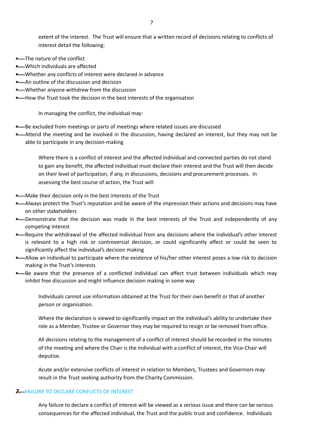extent of the interest. The Trust will ensure that a written record of decisions relating to conflicts of interest detail the following:

- **•** The nature of the conflict
- Which individuals are affected
- Whether any conflicts of interest were declared in advance
- **•** An outline of the discussion and decision
- Whether anyone withdrew from the discussion
- **•** How the Trust took the decision in the best interests of the organisation

In managing the conflict, the individual may:

- **•** Be excluded from meetings or parts of meetings where related issues are discussed
- Attend the meeting and be involved in the discussion, having declared an interest, but they may not be able to participate in any decision-making

Where there is a conflict of interest and the affected individual and connected parties do not stand to gain any benefit, the affected individual must declare their interest and the Trust will then decide on their level of participation, if any, in discussions, decisions and procurement processes. In assessing the best course of action, the Trust will:

- Make their decision only in the best interests of the Trust
- Always protect the Trust's reputation and be aware of the impression their actions and decisions may have on other stakeholders
- Demonstrate that the decision was made in the best interests of the Trust and independently of any competing interest
- **•** Require the withdrawal of the affected individual from any decisions where the individual's other interest is relevant to a high risk or controversial decision, or could significantly affect or could be seen to significantly affect the individual's decision making
- Allow an individual to participate where the existence of his/her other interest poses a low risk to decision making in the Trust's interests
- **•** Be aware that the presence of a conflicted individual can affect trust between individuals which may inhibit free discussion and might influence decision making in some way

Individuals cannot use information obtained at the Trust for their own benefit or that of another person or organisation.

Where the declaration is viewed to significantly impact on the individual's ability to undertake their role as a Member, Trustee or Governor they may be required to resign or be removed from office.

All decisions relating to the management of a conflict of interest should be recorded in the minutes of the meeting and where the Chair is the individual with a conflict of interest, the Vice-Chair will deputise.

Acute and/or extensive conflicts of interest in relation to Members, Trustees and Governors may result in the Trust seeking authority from the Charity Commission.

#### **7.** FAILURE TO DECLARE CONFLICTS OF INTEREST

Any failure to declare a conflict of interest will be viewed as a serious issue and there can be serious consequences for the affected individual, the Trust and the public trust and confidence. Individuals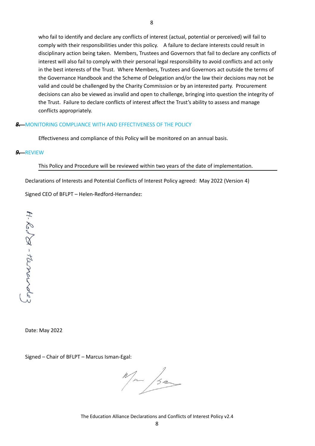who fail to identify and declare any conflicts of interest (actual, potential or perceived) will fail to comply with their responsibilities under this policy. A failure to declare interests could result in disciplinary action being taken. Members, Trustees and Governors that fail to declare any conflicts of interest will also fail to comply with their personal legal responsibility to avoid conflicts and act only in the best interests of the Trust. Where Members, Trustees and Governors act outside the terms of the Governance Handbook and the Scheme of Delegation and/or the law their decisions may not be valid and could be challenged by the Charity Commission or by an interested party. Procurement decisions can also be viewed as invalid and open to challenge, bringing into question the integrity of the Trust. Failure to declare conflicts of interest affect the Trust's ability to assess and manage conflicts appropriately.

### **8.** MONITORING COMPLIANCE WITH AND EFFECTIVENESS OF THE POLICY

Effectiveness and compliance of this Policy will be monitored on an annual basis.

#### *9.* REVIEW

This Policy and Procedure will be reviewed within two years of the date of implementation.

Declarations of Interests and Potential Conflicts of Interest Policy agreed: May 2022 (Version 4)

Signed CEO of BFLPT – Helen-Redford-Hernandez:

 $H - K_0 / S - \tau_{\alpha}$ marde

Date: May 2022

Signed – Chair of BFLPT – Marcus Isman-Egal:

m /5m

The Education Alliance Declarations and Conflicts of Interest Policy v2.4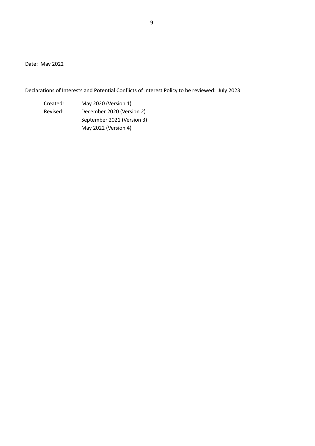Date: May 2022

Declarations of Interests and Potential Conflicts of Interest Policy to be reviewed: July 2023

Created: May 2020 (Version 1) Revised: December 2020 (Version 2) September 2021 (Version 3) May 2022 (Version 4)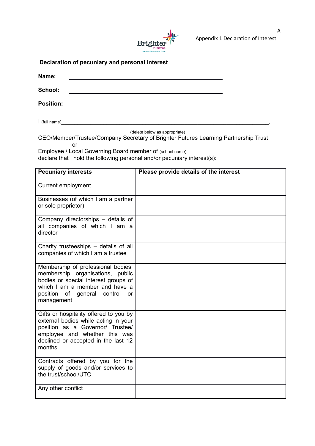

## **Declaration of pecuniary and personal interest**

| Name:                   |  |
|-------------------------|--|
| School:                 |  |
| <b>Position:</b>        |  |
| $\mathsf I$ (full name) |  |

(delete below as appropriate)

CEO/Member/Trustee/Company Secretary of Brighter Futures Learning Partnership Trust **or** the contract of the contract of the contract of the contract of the contract of the contract of the contract of the contract of the contract of the contract of the contract of the contract of the contract of the contr

Employee / Local Governing Board member of (school name) \_\_\_\_\_\_\_\_\_\_\_\_\_\_\_\_\_\_\_\_\_\_\_ declare that I hold the following personal and/or pecuniary interest(s):

| <b>Pecuniary interests</b>                                                                                                                                                                                 | Please provide details of the interest |
|------------------------------------------------------------------------------------------------------------------------------------------------------------------------------------------------------------|----------------------------------------|
| <b>Current employment</b>                                                                                                                                                                                  |                                        |
| Businesses (of which I am a partner<br>or sole proprietor)                                                                                                                                                 |                                        |
| Company directorships - details of<br>all companies of which I am a<br>director                                                                                                                            |                                        |
| Charity trusteeships - details of all<br>companies of which I am a trustee                                                                                                                                 |                                        |
| Membership of professional bodies,<br>membership organisations, public<br>bodies or special interest groups of<br>which I am a member and have a<br>position of general control<br><b>or</b><br>management |                                        |
| Gifts or hospitality offered to you by<br>external bodies while acting in your<br>position as a Governor/ Trustee/<br>employee and whether this was<br>declined or accepted in the last 12<br>months       |                                        |
| Contracts offered by you for the<br>supply of goods and/or services to<br>the trust/school/UTC                                                                                                             |                                        |
| Any other conflict                                                                                                                                                                                         |                                        |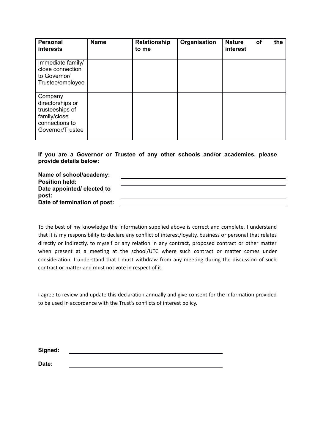| <b>Personal</b><br>interests                                                                         | <b>Name</b> | Relationship<br>to me | Organisation | <b>Nature</b><br>interest | <b>of</b> | the |
|------------------------------------------------------------------------------------------------------|-------------|-----------------------|--------------|---------------------------|-----------|-----|
| Immediate family/<br>close connection<br>to Governor/<br>Trustee/employee                            |             |                       |              |                           |           |     |
| Company<br>directorships or<br>trusteeships of<br>family/close<br>connections to<br>Governor/Trustee |             |                       |              |                           |           |     |

**If you are a Governor or Trustee of any other schools and/or academies, please provide details below:**

**Name of school/academy: Position held: Date appointed/ elected to post: Date of termination of post:**

To the best of my knowledge the information supplied above is correct and complete. I understand that it is my responsibility to declare any conflict of interest/loyalty, business or personal that relates directly or indirectly, to myself or any relation in any contract, proposed contract or other matter when present at a meeting at the school/UTC where such contract or matter comes under consideration. I understand that I must withdraw from any meeting during the discussion of such contract or matter and must not vote in respect of it.

I agree to review and update this declaration annually and give consent for the information provided to be used in accordance with the Trust's conflicts of interest policy.

| Signed: |  |  |  |
|---------|--|--|--|
|         |  |  |  |
| Date:   |  |  |  |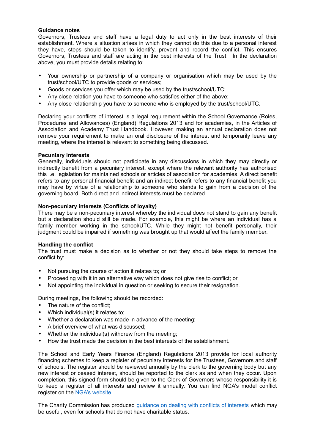#### **Guidance notes**

Governors, Trustees and staff have a legal duty to act only in the best interests of their establishment. Where a situation arises in which they cannot do this due to a personal interest they have, steps should be taken to identify, prevent and record the conflict. This ensures Governors, Trustees and staff are acting in the best interests of the Trust. In the declaration above, you must provide details relating to:

- Your ownership or partnership of a company or organisation which may be used by the trust/school/UTC to provide goods or services;
- Goods or services you offer which may be used by the trust/school/UTC;
- Any close relation you have to someone who satisfies either of the above;
- Any close relationship you have to someone who is employed by the trust/school/UTC.

Declaring your conflicts of interest is a legal requirement within the School Governance (Roles, Procedures and Allowances) (England) Regulations 2013 and for academies, in the Articles of Association and Academy Trust Handbook. However, making an annual declaration does not remove your requirement to make an oral disclosure of the interest and temporarily leave any meeting, where the interest is relevant to something being discussed.

#### **Pecuniary interests**

Generally, individuals should not participate in any discussions in which they may directly or indirectly benefit from a pecuniary interest, except where the relevant authority has authorised this i.e. legislation for maintained schools or articles of association for academies. A direct benefit refers to any personal financial benefit and an indirect benefit refers to any financial benefit you may have by virtue of a relationship to someone who stands to gain from a decision of the governing board. Both direct and indirect interests must be declared.

#### **Non-pecuniary interests (Conflicts of loyalty)**

There may be a non-pecuniary interest whereby the individual does not stand to gain any benefit but a declaration should still be made. For example, this might be where an individual has a family member working in the school/UTC. While they might not benefit personally, their judgment could be impaired if something was brought up that would affect the family member.

#### **Handling the conflict**

The trust must make a decision as to whether or not they should take steps to remove the conflict by:

- Not pursuing the course of action it relates to; or
- Proceeding with it in an alternative way which does not give rise to conflict; or
- Not appointing the individual in question or seeking to secure their resignation.

During meetings, the following should be recorded:

- The nature of the conflict:
- Which individual(s) it relates to;
- Whether a declaration was made in advance of the meeting;
- A brief overview of what was discussed;
- Whether the individual(s) withdrew from the meeting;
- How the trust made the decision in the best interests of the establishment.

The School and Early Years Finance (England) Regulations 2013 provide for local authority financing schemes to keep a register of pecuniary interests for the Trustees, Governors and staff of schools. The register should be reviewed annually by the clerk to the governing body but any new interest or ceased interest, should be reported to the clerk as and when they occur. Upon completion, this signed form should be given to the Clerk of Governors whose responsibility it is to keep a register of all interests and review it annually. You can find NGA's model conflict register on the [NGA's website.](http://www.nga.org.uk/Guidance/Legislation,policies-and-procedures/Model-Policies/The-Register-of-Governors-Business-Interests.aspx)

The Charity Commission has produced [guidance on dealing with conflicts of interests](https://www.gov.uk/government/publications/conflicts-of-interest-a-guide-for-charity-trustees-cc29) which may be useful, even for schools that do not have charitable status.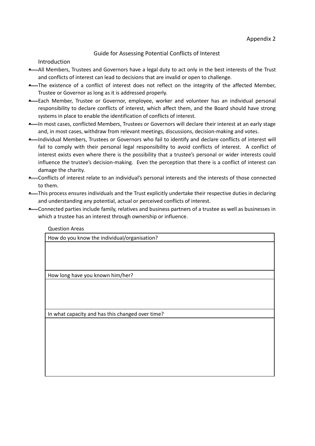## Guide for Assessing Potential Conflicts of Interest

Introduction

- All Members, Trustees and Governors have a legal duty to act only in the best interests of the Trust and conflicts of interest can lead to decisions that are invalid or open to challenge.
- **•** The existence of a conflict of interest does not reflect on the integrity of the affected Member, Trustee or Governor as long as it is addressed properly.
- **•** Each Member, Trustee or Governor, employee, worker and volunteer has an individual personal responsibility to declare conflicts of interest, which affect them, and the Board should have strong systems in place to enable the identification of conflicts of interest.
- **•** In most cases, conflicted Members, Trustees or Governors will declare their interest at an early stage and, in most cases, withdraw from relevant meetings, discussions, decision-making and votes.
- Individual Members, Trustees or Governors who fail to identify and declare conflicts of interest will fail to comply with their personal legal responsibility to avoid conflicts of interest. A conflict of interest exists even where there is the possibility that a trustee's personal or wider interests could influence the trustee's decision-making. Even the perception that there is a conflict of interest can damage the charity.
- Conflicts of interest relate to an individual's personal interests and the interests of those connected to them.
- This process ensures individuals and the Trust explicitly undertake their respective duties in declaring and understanding any potential, actual or perceived conflicts of interest.
- Connected parties include family, relatives and business partners of a trustee as well as businesses in which a trustee has an interest through ownership or influence.

| <b>Question Areas</b>                            |
|--------------------------------------------------|
| How do you know the individual/organisation?     |
|                                                  |
|                                                  |
|                                                  |
|                                                  |
| How long have you known him/her?                 |
|                                                  |
|                                                  |
|                                                  |
| In what capacity and has this changed over time? |
|                                                  |
|                                                  |
|                                                  |
|                                                  |
|                                                  |
|                                                  |
|                                                  |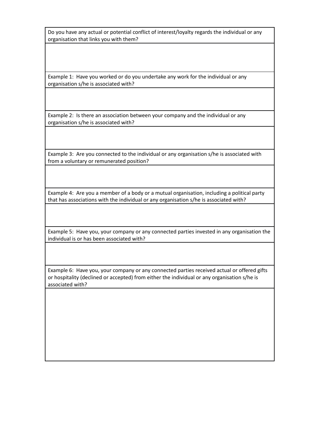Do you have any actual or potential conflict of interest/loyalty regards the individual or any organisation that links you with them?

Example 1: Have you worked or do you undertake any work for the individual or any organisation s/he is associated with?

Example 2: Is there an association between your company and the individual or any organisation s/he is associated with?

Example 3: Are you connected to the individual or any organisation s/he is associated with from a voluntary or remunerated position?

Example 4: Are you a member of a body or a mutual organisation, including a political party that has associations with the individual or any organisation s/he is associated with?

Example 5: Have you, your company or any connected parties invested in any organisation the individual is or has been associated with?

Example 6: Have you, your company or any connected parties received actual or offered gifts or hospitality (declined or accepted) from either the individual or any organisation s/he is associated with?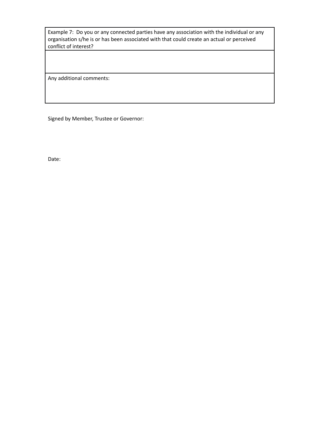Example 7: Do you or any connected parties have any association with the individual or any organisation s/he is or has been associated with that could create an actual or perceived conflict of interest?

Any additional comments:

Signed by Member, Trustee or Governor:

Date: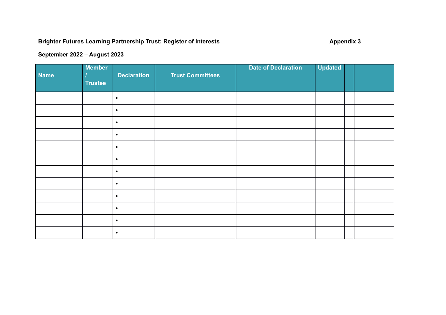# **Brighter Futures Learning Partnership Trust: Register of Interests Appendix 3** Appendix 3

## **September 2022 – August 2023**

| Name | <b>Member</b><br><b>Trustee</b> | <b>Declaration</b> | <b>Trust Committees</b> | <b>Date of Declaration</b> | <b>Updated</b> |  |
|------|---------------------------------|--------------------|-------------------------|----------------------------|----------------|--|
|      |                                 | $\bullet$          |                         |                            |                |  |
|      |                                 | $\bullet$          |                         |                            |                |  |
|      |                                 | $\bullet$          |                         |                            |                |  |
|      |                                 | $\bullet$          |                         |                            |                |  |
|      |                                 | $\bullet$          |                         |                            |                |  |
|      |                                 | $\bullet$          |                         |                            |                |  |
|      |                                 | $\bullet$          |                         |                            |                |  |
|      |                                 | $\bullet$          |                         |                            |                |  |
|      |                                 | $\bullet$          |                         |                            |                |  |
|      |                                 | $\bullet$          |                         |                            |                |  |
|      |                                 | $\bullet$          |                         |                            |                |  |
|      |                                 | $\bullet$          |                         |                            |                |  |